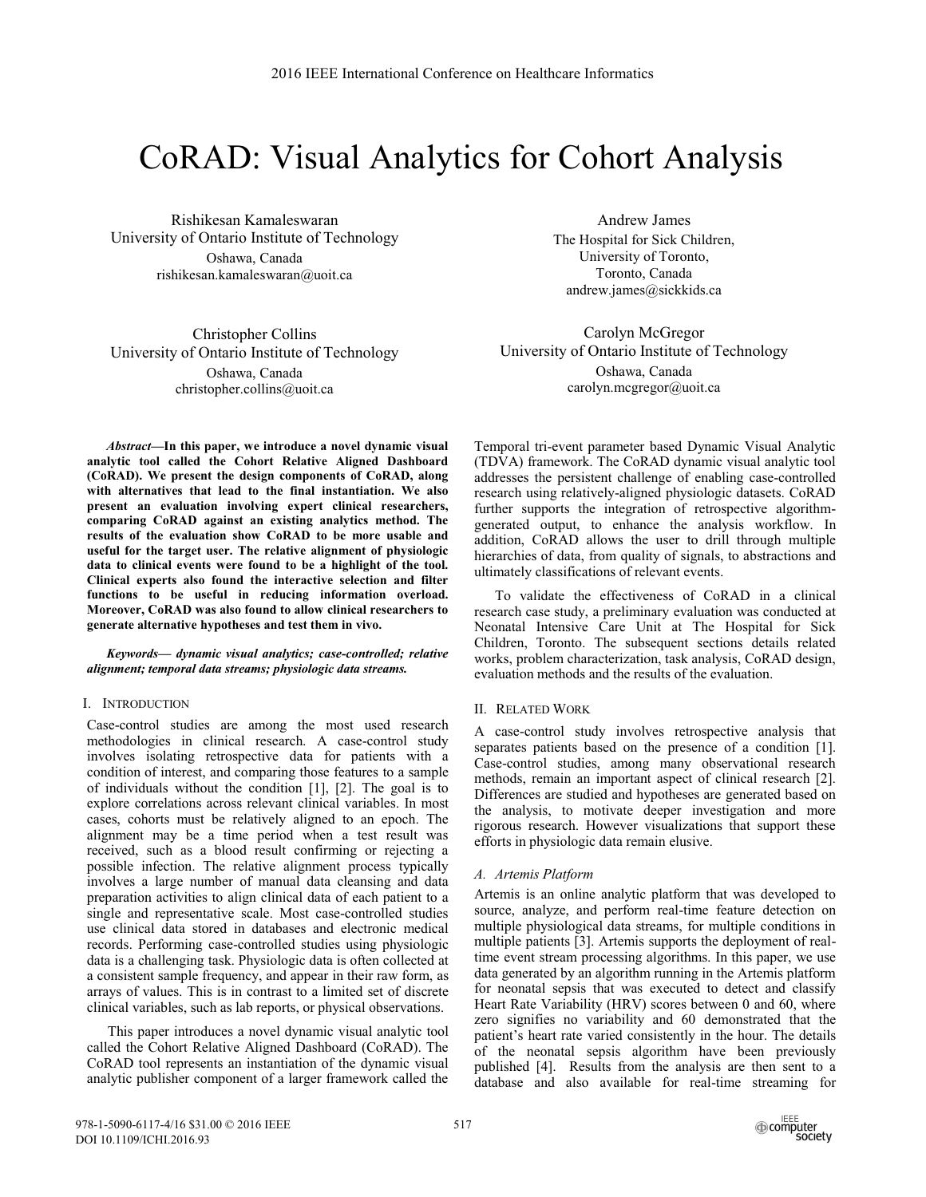# CoRAD: Visual Analytics for Cohort Analysis

Rishikesan Kamaleswaran University of Ontario Institute of Technology Oshawa, Canada rishikesan.kamaleswaran@uoit.ca

Christopher Collins University of Ontario Institute of Technology Oshawa, Canada christopher.collins@uoit.ca

*Abstract***—In this paper, we introduce a novel dynamic visual analytic tool called the Cohort Relative Aligned Dashboard (CoRAD). We present the design components of CoRAD, along with alternatives that lead to the final instantiation. We also present an evaluation involving expert clinical researchers, comparing CoRAD against an existing analytics method. The results of the evaluation show CoRAD to be more usable and useful for the target user. The relative alignment of physiologic data to clinical events were found to be a highlight of the tool. Clinical experts also found the interactive selection and filter functions to be useful in reducing information overload. Moreover, CoRAD was also found to allow clinical researchers to generate alternative hypotheses and test them in vivo.**

*Keywords— dynamic visual analytics; case-controlled; relative alignment; temporal data streams; physiologic data streams.* 

# I. INTRODUCTION

Case-control studies are among the most used research methodologies in clinical research. A case-control study involves isolating retrospective data for patients with a condition of interest, and comparing those features to a sample of individuals without the condition [1], [2]. The goal is to explore correlations across relevant clinical variables. In most cases, cohorts must be relatively aligned to an epoch. The alignment may be a time period when a test result was received, such as a blood result confirming or rejecting a possible infection. The relative alignment process typically involves a large number of manual data cleansing and data preparation activities to align clinical data of each patient to a single and representative scale. Most case-controlled studies use clinical data stored in databases and electronic medical records. Performing case-controlled studies using physiologic data is a challenging task. Physiologic data is often collected at a consistent sample frequency, and appear in their raw form, as arrays of values. This is in contrast to a limited set of discrete clinical variables, such as lab reports, or physical observations.

This paper introduces a novel dynamic visual analytic tool called the Cohort Relative Aligned Dashboard (CoRAD). The CoRAD tool represents an instantiation of the dynamic visual analytic publisher component of a larger framework called the

Andrew James The Hospital for Sick Children, University of Toronto, Toronto, Canada andrew.james@sickkids.ca

Carolyn McGregor University of Ontario Institute of Technology Oshawa, Canada carolyn.mcgregor@uoit.ca

Temporal tri-event parameter based Dynamic Visual Analytic (TDVA) framework. The CoRAD dynamic visual analytic tool addresses the persistent challenge of enabling case-controlled research using relatively-aligned physiologic datasets. CoRAD further supports the integration of retrospective algorithmgenerated output, to enhance the analysis workflow. In addition, CoRAD allows the user to drill through multiple hierarchies of data, from quality of signals, to abstractions and ultimately classifications of relevant events.

To validate the effectiveness of CoRAD in a clinical research case study, a preliminary evaluation was conducted at Neonatal Intensive Care Unit at The Hospital for Sick Children, Toronto. The subsequent sections details related works, problem characterization, task analysis, CoRAD design, evaluation methods and the results of the evaluation.

## II. RELATED WORK

A case-control study involves retrospective analysis that separates patients based on the presence of a condition [1]. Case-control studies, among many observational research methods, remain an important aspect of clinical research [2]. Differences are studied and hypotheses are generated based on the analysis, to motivate deeper investigation and more rigorous research. However visualizations that support these efforts in physiologic data remain elusive.

## *A. Artemis Platform*

Artemis is an online analytic platform that was developed to source, analyze, and perform real-time feature detection on multiple physiological data streams, for multiple conditions in multiple patients [3]. Artemis supports the deployment of realtime event stream processing algorithms. In this paper, we use data generated by an algorithm running in the Artemis platform for neonatal sepsis that was executed to detect and classify Heart Rate Variability (HRV) scores between 0 and 60, where zero signifies no variability and 60 demonstrated that the patient's heart rate varied consistently in the hour. The details of the neonatal sepsis algorithm have been previously published [4]. Results from the analysis are then sent to a database and also available for real-time streaming for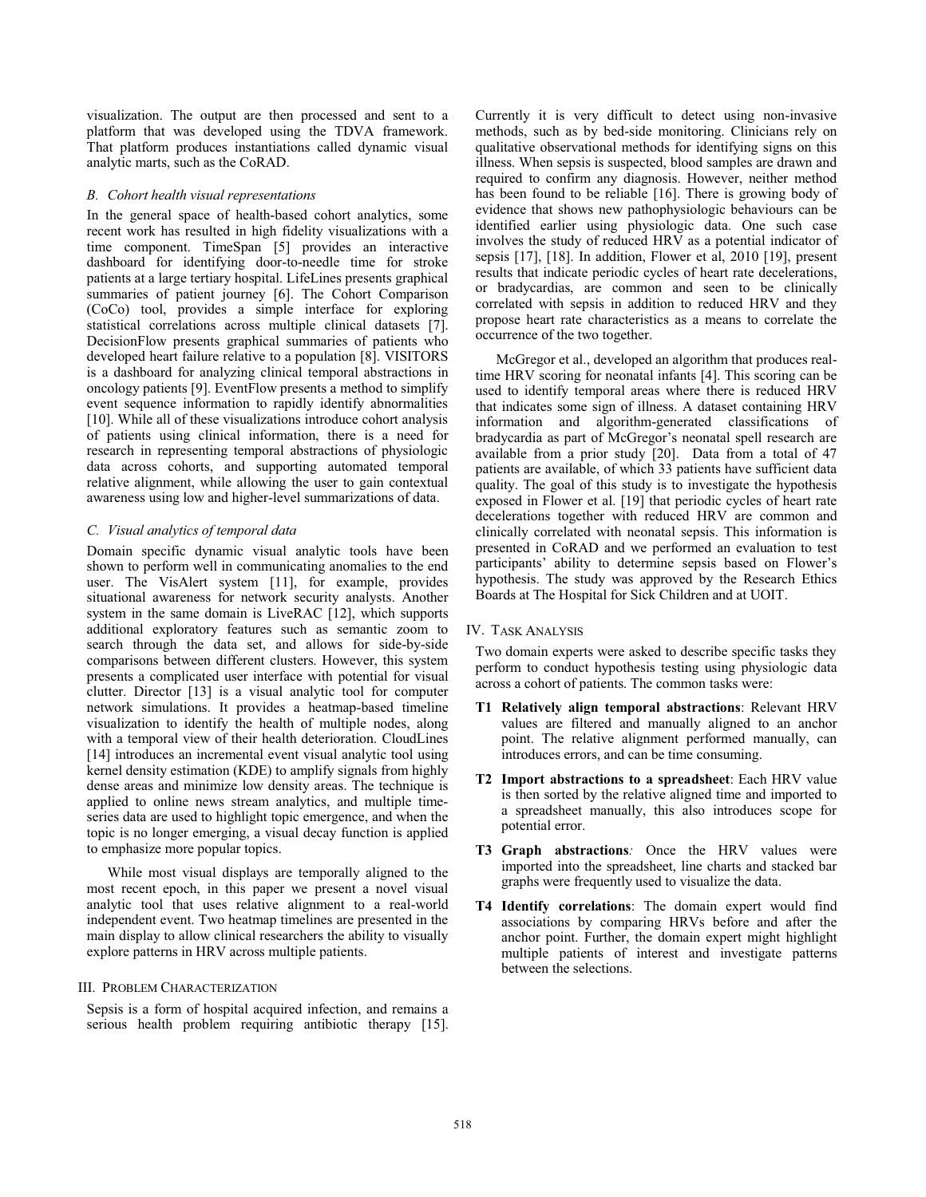visualization. The output are then processed and sent to a platform that was developed using the TDVA framework. That platform produces instantiations called dynamic visual analytic marts, such as the CoRAD.

## *B. Cohort health visual representations*

In the general space of health-based cohort analytics, some recent work has resulted in high fidelity visualizations with a time component. TimeSpan [5] provides an interactive dashboard for identifying door-to-needle time for stroke patients at a large tertiary hospital. LifeLines presents graphical summaries of patient journey [6]. The Cohort Comparison (CoCo) tool, provides a simple interface for exploring statistical correlations across multiple clinical datasets [7]. DecisionFlow presents graphical summaries of patients who developed heart failure relative to a population [8]. VISITORS is a dashboard for analyzing clinical temporal abstractions in oncology patients [9]. EventFlow presents a method to simplify event sequence information to rapidly identify abnormalities [10]. While all of these visualizations introduce cohort analysis of patients using clinical information, there is a need for research in representing temporal abstractions of physiologic data across cohorts, and supporting automated temporal relative alignment, while allowing the user to gain contextual awareness using low and higher-level summarizations of data.

#### *C. Visual analytics of temporal data*

Domain specific dynamic visual analytic tools have been shown to perform well in communicating anomalies to the end user. The VisAlert system [11], for example, provides situational awareness for network security analysts. Another system in the same domain is LiveRAC [12], which supports additional exploratory features such as semantic zoom to search through the data set, and allows for side-by-side comparisons between different clusters. However, this system presents a complicated user interface with potential for visual clutter. Director [13] is a visual analytic tool for computer network simulations. It provides a heatmap-based timeline visualization to identify the health of multiple nodes, along with a temporal view of their health deterioration. CloudLines [14] introduces an incremental event visual analytic tool using kernel density estimation (KDE) to amplify signals from highly dense areas and minimize low density areas. The technique is applied to online news stream analytics, and multiple timeseries data are used to highlight topic emergence, and when the topic is no longer emerging, a visual decay function is applied to emphasize more popular topics.

 While most visual displays are temporally aligned to the most recent epoch, in this paper we present a novel visual analytic tool that uses relative alignment to a real-world independent event. Two heatmap timelines are presented in the main display to allow clinical researchers the ability to visually explore patterns in HRV across multiple patients.

## III. PROBLEM CHARACTERIZATION

Sepsis is a form of hospital acquired infection, and remains a serious health problem requiring antibiotic therapy [15]. Currently it is very difficult to detect using non-invasive methods, such as by bed-side monitoring. Clinicians rely on qualitative observational methods for identifying signs on this illness. When sepsis is suspected, blood samples are drawn and required to confirm any diagnosis. However, neither method has been found to be reliable [16]. There is growing body of evidence that shows new pathophysiologic behaviours can be identified earlier using physiologic data. One such case involves the study of reduced HRV as a potential indicator of sepsis [17], [18]. In addition, Flower et al, 2010 [19], present results that indicate periodic cycles of heart rate decelerations, or bradycardias, are common and seen to be clinically correlated with sepsis in addition to reduced HRV and they propose heart rate characteristics as a means to correlate the occurrence of the two together.

McGregor et al., developed an algorithm that produces realtime HRV scoring for neonatal infants [4]. This scoring can be used to identify temporal areas where there is reduced HRV that indicates some sign of illness. A dataset containing HRV information and algorithm-generated classifications of bradycardia as part of McGregor's neonatal spell research are available from a prior study [20]. Data from a total of 47 patients are available, of which 33 patients have sufficient data quality. The goal of this study is to investigate the hypothesis exposed in Flower et al. [19] that periodic cycles of heart rate decelerations together with reduced HRV are common and clinically correlated with neonatal sepsis. This information is presented in CoRAD and we performed an evaluation to test participants' ability to determine sepsis based on Flower's hypothesis. The study was approved by the Research Ethics Boards at The Hospital for Sick Children and at UOIT.

#### IV. TASK ANALYSIS

Two domain experts were asked to describe specific tasks they perform to conduct hypothesis testing using physiologic data across a cohort of patients. The common tasks were:

- **T1 Relatively align temporal abstractions**: Relevant HRV values are filtered and manually aligned to an anchor point. The relative alignment performed manually, can introduces errors, and can be time consuming.
- **T2 Import abstractions to a spreadsheet**: Each HRV value is then sorted by the relative aligned time and imported to a spreadsheet manually, this also introduces scope for potential error.
- **T3 Graph abstractions***:* Once the HRV values were imported into the spreadsheet, line charts and stacked bar graphs were frequently used to visualize the data.
- **T4 Identify correlations**: The domain expert would find associations by comparing HRVs before and after the anchor point. Further, the domain expert might highlight multiple patients of interest and investigate patterns between the selections.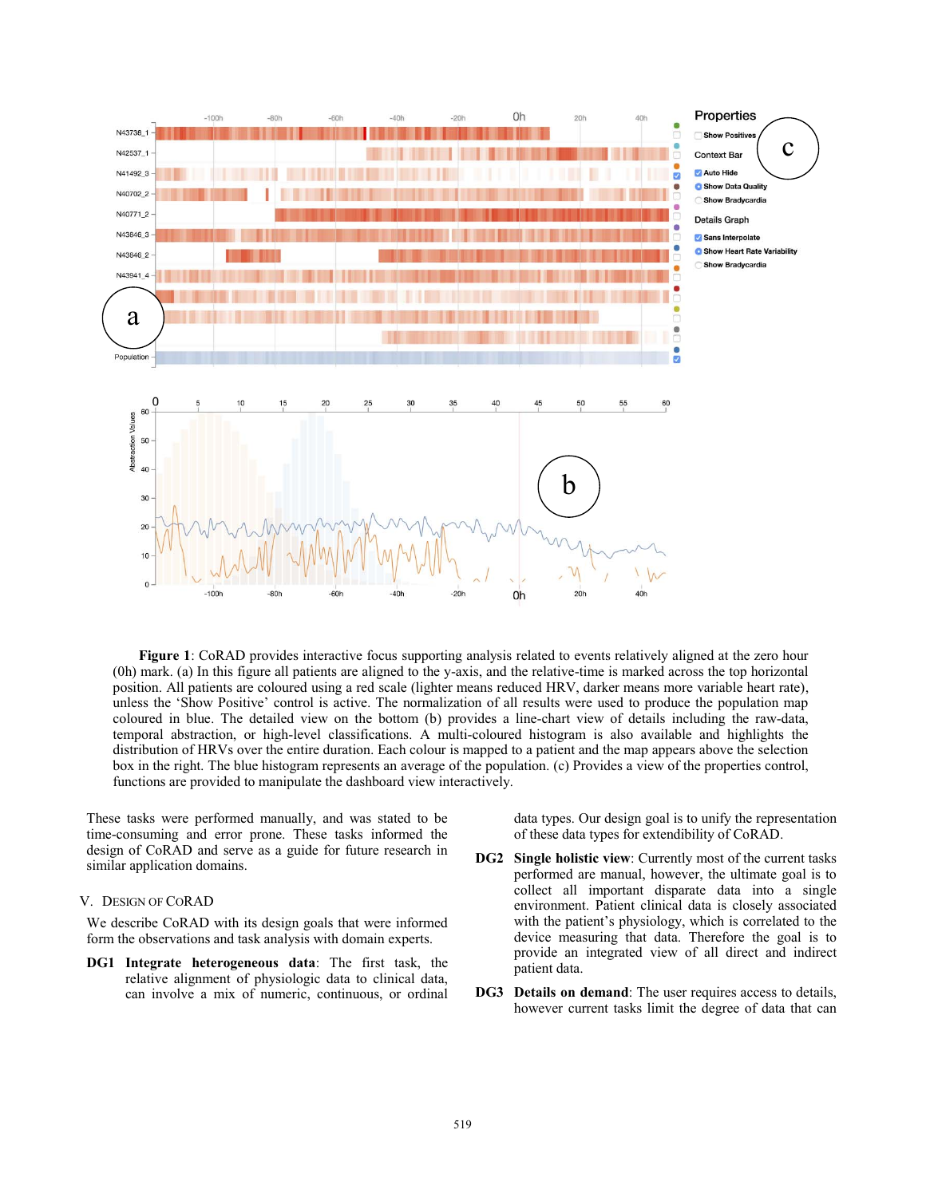

**Figure 1**: CoRAD provides interactive focus supporting analysis related to events relatively aligned at the zero hour (0h) mark. (a) In this figure all patients are aligned to the y-axis, and the relative-time is marked across the top horizontal position. All patients are coloured using a red scale (lighter means reduced HRV, darker means more variable heart rate), unless the 'Show Positive' control is active. The normalization of all results were used to produce the population map coloured in blue. The detailed view on the bottom (b) provides a line-chart view of details including the raw-data, temporal abstraction, or high-level classifications. A multi-coloured histogram is also available and highlights the distribution of HRVs over the entire duration. Each colour is mapped to a patient and the map appears above the selection box in the right. The blue histogram represents an average of the population. (c) Provides a view of the properties control, functions are provided to manipulate the dashboard view interactively.

These tasks were performed manually, and was stated to be time-consuming and error prone. These tasks informed the design of CoRAD and serve as a guide for future research in similar application domains.

#### V. DESIGN OF CORAD

We describe CoRAD with its design goals that were informed form the observations and task analysis with domain experts.

**DG1 Integrate heterogeneous data**: The first task, the relative alignment of physiologic data to clinical data, can involve a mix of numeric, continuous, or ordinal data types. Our design goal is to unify the representation of these data types for extendibility of CoRAD.

- **DG2 Single holistic view**: Currently most of the current tasks performed are manual, however, the ultimate goal is to collect all important disparate data into a single environment. Patient clinical data is closely associated with the patient's physiology, which is correlated to the device measuring that data. Therefore the goal is to provide an integrated view of all direct and indirect patient data.
- **DG3 Details on demand**: The user requires access to details, however current tasks limit the degree of data that can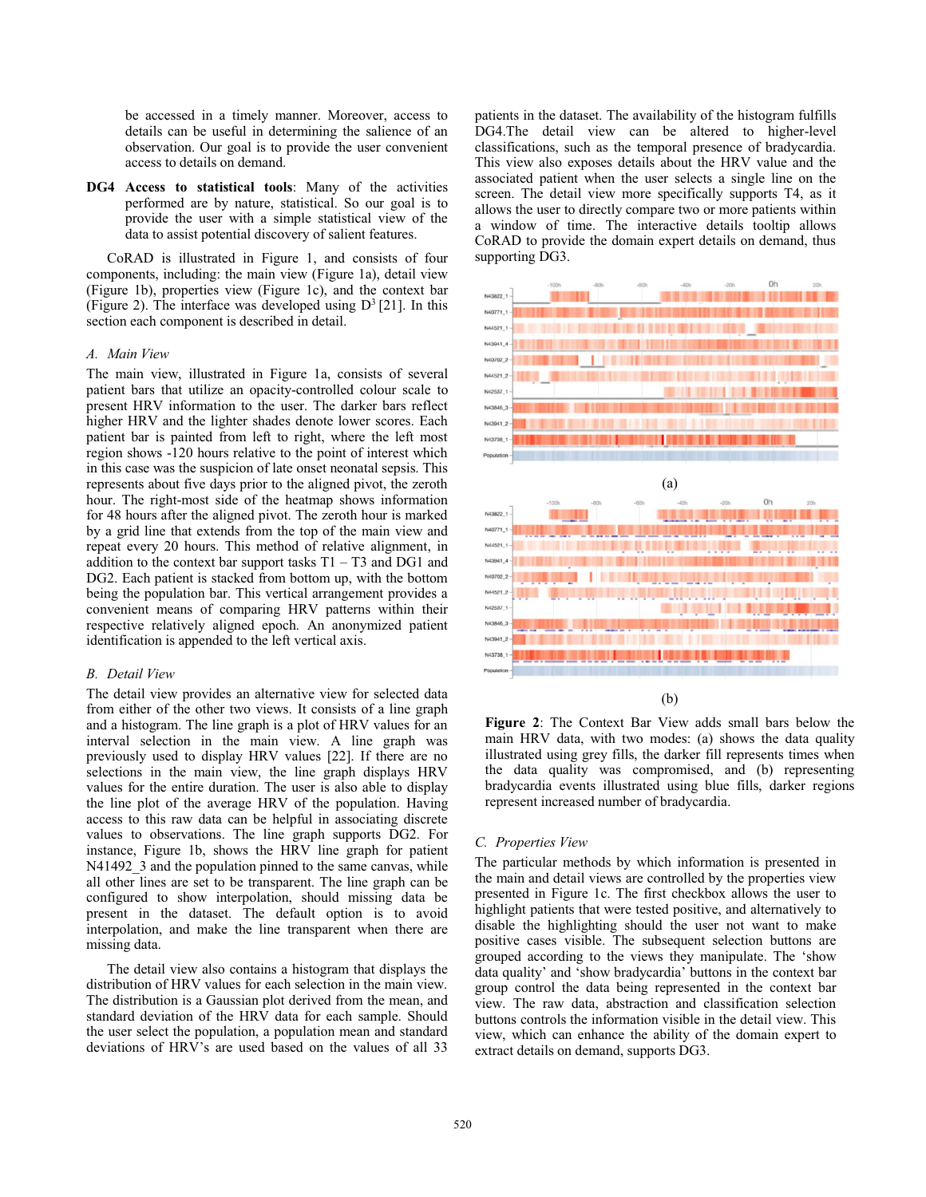be accessed in a timely manner. Moreover, access to details can be useful in determining the salience of an observation. Our goal is to provide the user convenient access to details on demand.

**DG4 Access to statistical tools**: Many of the activities performed are by nature, statistical. So our goal is to provide the user with a simple statistical view of the data to assist potential discovery of salient features.

CoRAD is illustrated in Figure 1, and consists of four components, including: the main view (Figure 1a), detail view (Figure 1b), properties view (Figure 1c), and the context bar (Figure 2). The interface was developed using  $D^3$  [21]. In this section each component is described in detail.

#### *A. Main View*

The main view, illustrated in Figure 1a, consists of several patient bars that utilize an opacity-controlled colour scale to present HRV information to the user. The darker bars reflect higher HRV and the lighter shades denote lower scores. Each patient bar is painted from left to right, where the left most region shows -120 hours relative to the point of interest which in this case was the suspicion of late onset neonatal sepsis. This represents about five days prior to the aligned pivot, the zeroth hour. The right-most side of the heatmap shows information for 48 hours after the aligned pivot. The zeroth hour is marked by a grid line that extends from the top of the main view and repeat every 20 hours. This method of relative alignment, in addition to the context bar support tasks  $T1 - T3$  and DG1 and DG2. Each patient is stacked from bottom up, with the bottom being the population bar. This vertical arrangement provides a convenient means of comparing HRV patterns within their respective relatively aligned epoch. An anonymized patient identification is appended to the left vertical axis.

#### *B. Detail View*

The detail view provides an alternative view for selected data from either of the other two views. It consists of a line graph and a histogram. The line graph is a plot of HRV values for an interval selection in the main view. A line graph was previously used to display HRV values [22]. If there are no selections in the main view, the line graph displays HRV values for the entire duration. The user is also able to display the line plot of the average HRV of the population. Having access to this raw data can be helpful in associating discrete values to observations. The line graph supports DG2. For instance, Figure 1b, shows the HRV line graph for patient N41492 3 and the population pinned to the same canvas, while all other lines are set to be transparent. The line graph can be configured to show interpolation, should missing data be present in the dataset. The default option is to avoid interpolation, and make the line transparent when there are missing data.

 The detail view also contains a histogram that displays the distribution of HRV values for each selection in the main view. The distribution is a Gaussian plot derived from the mean, and standard deviation of the HRV data for each sample. Should the user select the population, a population mean and standard deviations of HRV's are used based on the values of all 33

patients in the dataset. The availability of the histogram fulfills DG4.The detail view can be altered to higher-level classifications, such as the temporal presence of bradycardia. This view also exposes details about the HRV value and the associated patient when the user selects a single line on the screen. The detail view more specifically supports T4, as it allows the user to directly compare two or more patients within a window of time. The interactive details tooltip allows CoRAD to provide the domain expert details on demand, thus supporting DG3.



(b)

**Figure 2**: The Context Bar View adds small bars below the main HRV data, with two modes: (a) shows the data quality illustrated using grey fills, the darker fill represents times when the data quality was compromised, and (b) representing bradycardia events illustrated using blue fills, darker regions represent increased number of bradycardia.

## *C. Properties View*

The particular methods by which information is presented in the main and detail views are controlled by the properties view presented in Figure 1c. The first checkbox allows the user to highlight patients that were tested positive, and alternatively to disable the highlighting should the user not want to make positive cases visible. The subsequent selection buttons are grouped according to the views they manipulate. The 'show data quality' and 'show bradycardia' buttons in the context bar group control the data being represented in the context bar view. The raw data, abstraction and classification selection buttons controls the information visible in the detail view. This view, which can enhance the ability of the domain expert to extract details on demand, supports DG3.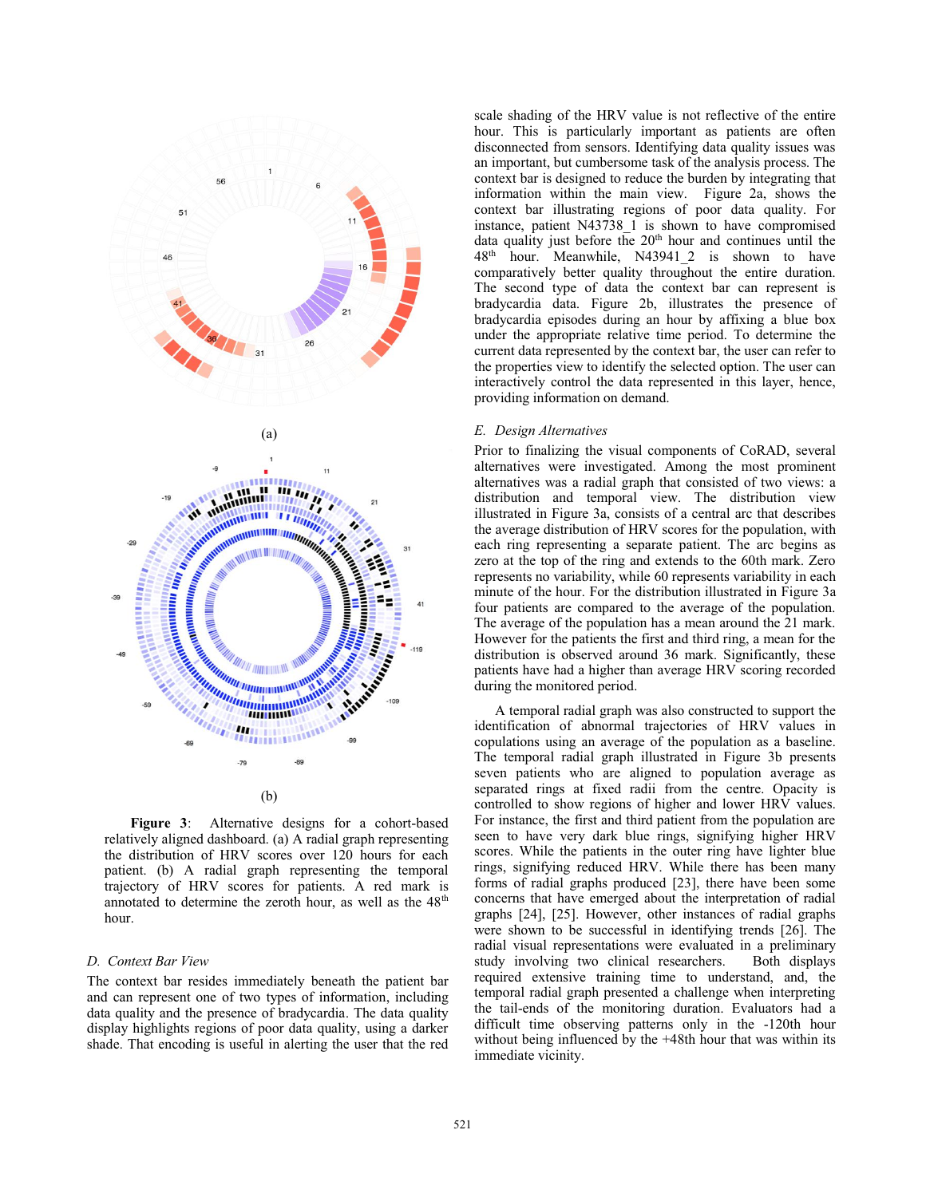

**Figure 3**: Alternative designs for a cohort-based relatively aligned dashboard. (a) A radial graph representing the distribution of HRV scores over 120 hours for each patient. (b) A radial graph representing the temporal trajectory of HRV scores for patients. A red mark is annotated to determine the zeroth hour, as well as the  $48<sup>th</sup>$ hour.

#### *D. Context Bar View*

The context bar resides immediately beneath the patient bar and can represent one of two types of information, including data quality and the presence of bradycardia. The data quality display highlights regions of poor data quality, using a darker shade. That encoding is useful in alerting the user that the red scale shading of the HRV value is not reflective of the entire hour. This is particularly important as patients are often disconnected from sensors. Identifying data quality issues was an important, but cumbersome task of the analysis process. The context bar is designed to reduce the burden by integrating that information within the main view. Figure 2a, shows the context bar illustrating regions of poor data quality. For instance, patient N43738 1 is shown to have compromised data quality just before the 20<sup>th</sup> hour and continues until the 48th hour. Meanwhile, N43941\_2 is shown to have comparatively better quality throughout the entire duration. The second type of data the context bar can represent is bradycardia data. Figure 2b, illustrates the presence of bradycardia episodes during an hour by affixing a blue box under the appropriate relative time period. To determine the current data represented by the context bar, the user can refer to the properties view to identify the selected option. The user can interactively control the data represented in this layer, hence, providing information on demand.

## *E. Design Alternatives*

Prior to finalizing the visual components of CoRAD, several alternatives were investigated. Among the most prominent alternatives was a radial graph that consisted of two views: a distribution and temporal view. The distribution view illustrated in Figure 3a, consists of a central arc that describes the average distribution of HRV scores for the population, with each ring representing a separate patient. The arc begins as zero at the top of the ring and extends to the 60th mark. Zero represents no variability, while 60 represents variability in each minute of the hour. For the distribution illustrated in Figure 3a four patients are compared to the average of the population. The average of the population has a mean around the 21 mark. However for the patients the first and third ring, a mean for the distribution is observed around 36 mark. Significantly, these patients have had a higher than average HRV scoring recorded during the monitored period.

 A temporal radial graph was also constructed to support the identification of abnormal trajectories of HRV values in copulations using an average of the population as a baseline. The temporal radial graph illustrated in Figure 3b presents seven patients who are aligned to population average as separated rings at fixed radii from the centre. Opacity is controlled to show regions of higher and lower HRV values. For instance, the first and third patient from the population are seen to have very dark blue rings, signifying higher HRV scores. While the patients in the outer ring have lighter blue rings, signifying reduced HRV. While there has been many forms of radial graphs produced [23], there have been some concerns that have emerged about the interpretation of radial graphs [24], [25]. However, other instances of radial graphs were shown to be successful in identifying trends [26]. The radial visual representations were evaluated in a preliminary study involving two clinical researchers. Both displays required extensive training time to understand, and, the temporal radial graph presented a challenge when interpreting the tail-ends of the monitoring duration. Evaluators had a difficult time observing patterns only in the -120th hour without being influenced by the +48th hour that was within its immediate vicinity.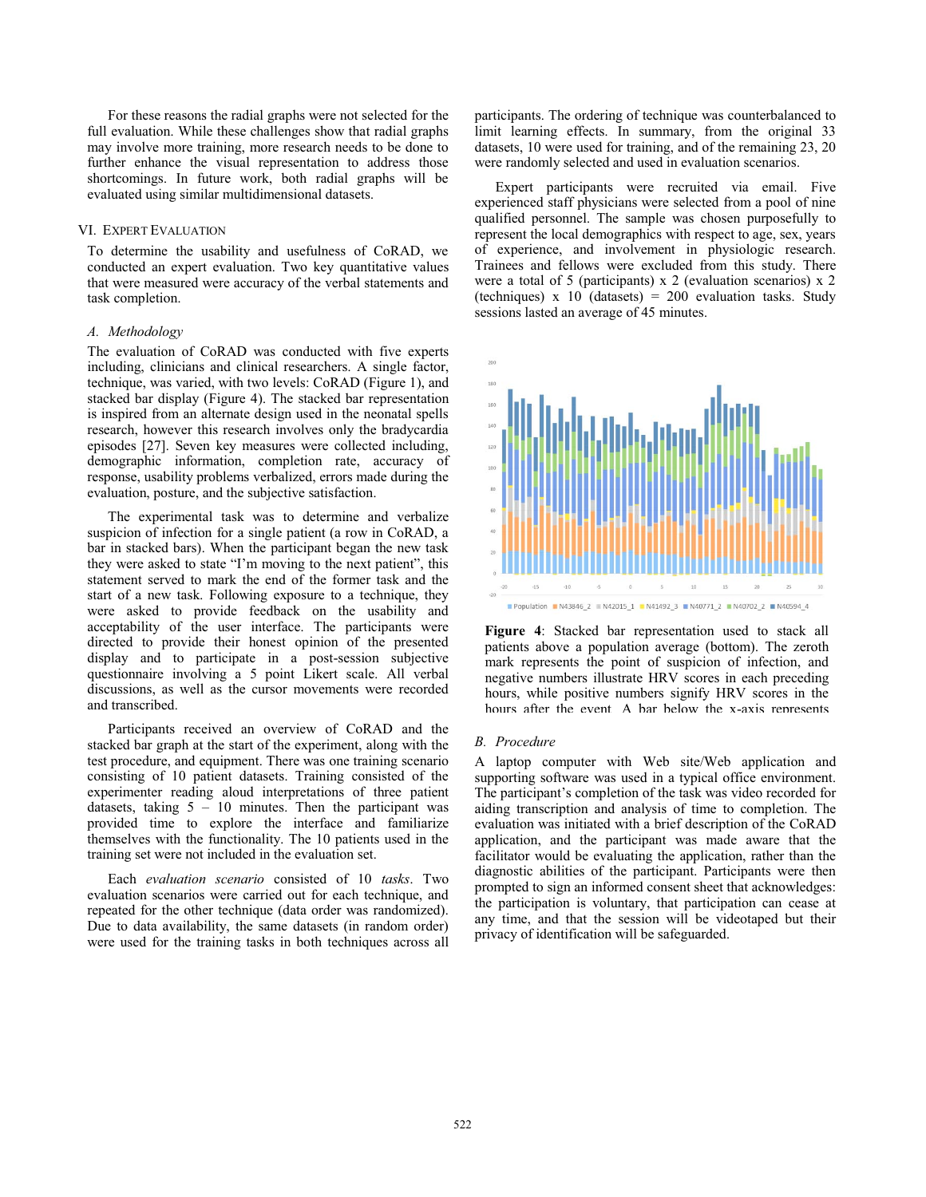For these reasons the radial graphs were not selected for the full evaluation. While these challenges show that radial graphs may involve more training, more research needs to be done to further enhance the visual representation to address those shortcomings. In future work, both radial graphs will be evaluated using similar multidimensional datasets.

## VI. EXPERT EVALUATION

To determine the usability and usefulness of CoRAD, we conducted an expert evaluation. Two key quantitative values that were measured were accuracy of the verbal statements and task completion.

## *A. Methodology*

The evaluation of CoRAD was conducted with five experts including, clinicians and clinical researchers. A single factor, technique, was varied, with two levels: CoRAD (Figure 1), and stacked bar display (Figure 4). The stacked bar representation is inspired from an alternate design used in the neonatal spells research, however this research involves only the bradycardia episodes [27]. Seven key measures were collected including, demographic information, completion rate, accuracy of response, usability problems verbalized, errors made during the evaluation, posture, and the subjective satisfaction.

The experimental task was to determine and verbalize suspicion of infection for a single patient (a row in CoRAD, a bar in stacked bars). When the participant began the new task they were asked to state "I'm moving to the next patient", this statement served to mark the end of the former task and the start of a new task. Following exposure to a technique, they were asked to provide feedback on the usability and acceptability of the user interface. The participants were directed to provide their honest opinion of the presented display and to participate in a post-session subjective questionnaire involving a 5 point Likert scale. All verbal discussions, as well as the cursor movements were recorded and transcribed.

Participants received an overview of CoRAD and the stacked bar graph at the start of the experiment, along with the test procedure, and equipment. There was one training scenario consisting of 10 patient datasets. Training consisted of the experimenter reading aloud interpretations of three patient datasets, taking  $5 - 10$  minutes. Then the participant was provided time to explore the interface and familiarize themselves with the functionality. The 10 patients used in the training set were not included in the evaluation set.

Each *evaluation scenario* consisted of 10 *tasks*. Two evaluation scenarios were carried out for each technique, and repeated for the other technique (data order was randomized). Due to data availability, the same datasets (in random order) were used for the training tasks in both techniques across all participants. The ordering of technique was counterbalanced to limit learning effects. In summary, from the original 33 datasets, 10 were used for training, and of the remaining 23, 20 were randomly selected and used in evaluation scenarios.

Expert participants were recruited via email. Five experienced staff physicians were selected from a pool of nine qualified personnel. The sample was chosen purposefully to represent the local demographics with respect to age, sex, years of experience, and involvement in physiologic research. Trainees and fellows were excluded from this study. There were a total of 5 (participants) x 2 (evaluation scenarios) x 2 (techniques) x 10 (datasets) =  $200$  evaluation tasks. Study sessions lasted an average of 45 minutes.



**Figure 4**: Stacked bar representation used to stack all patients above a population average (bottom). The zeroth mark represents the point of suspicion of infection, and negative numbers illustrate HRV scores in each preceding hours, while positive numbers signify HRV scores in the hours after the event A bar below the x-axis represents

## *B. Procedure*

A laptop computer with Web site/Web application and supporting software was used in a typical office environment. The participant's completion of the task was video recorded for aiding transcription and analysis of time to completion. The evaluation was initiated with a brief description of the CoRAD application, and the participant was made aware that the facilitator would be evaluating the application, rather than the diagnostic abilities of the participant. Participants were then prompted to sign an informed consent sheet that acknowledges: the participation is voluntary, that participation can cease at any time, and that the session will be videotaped but their privacy of identification will be safeguarded.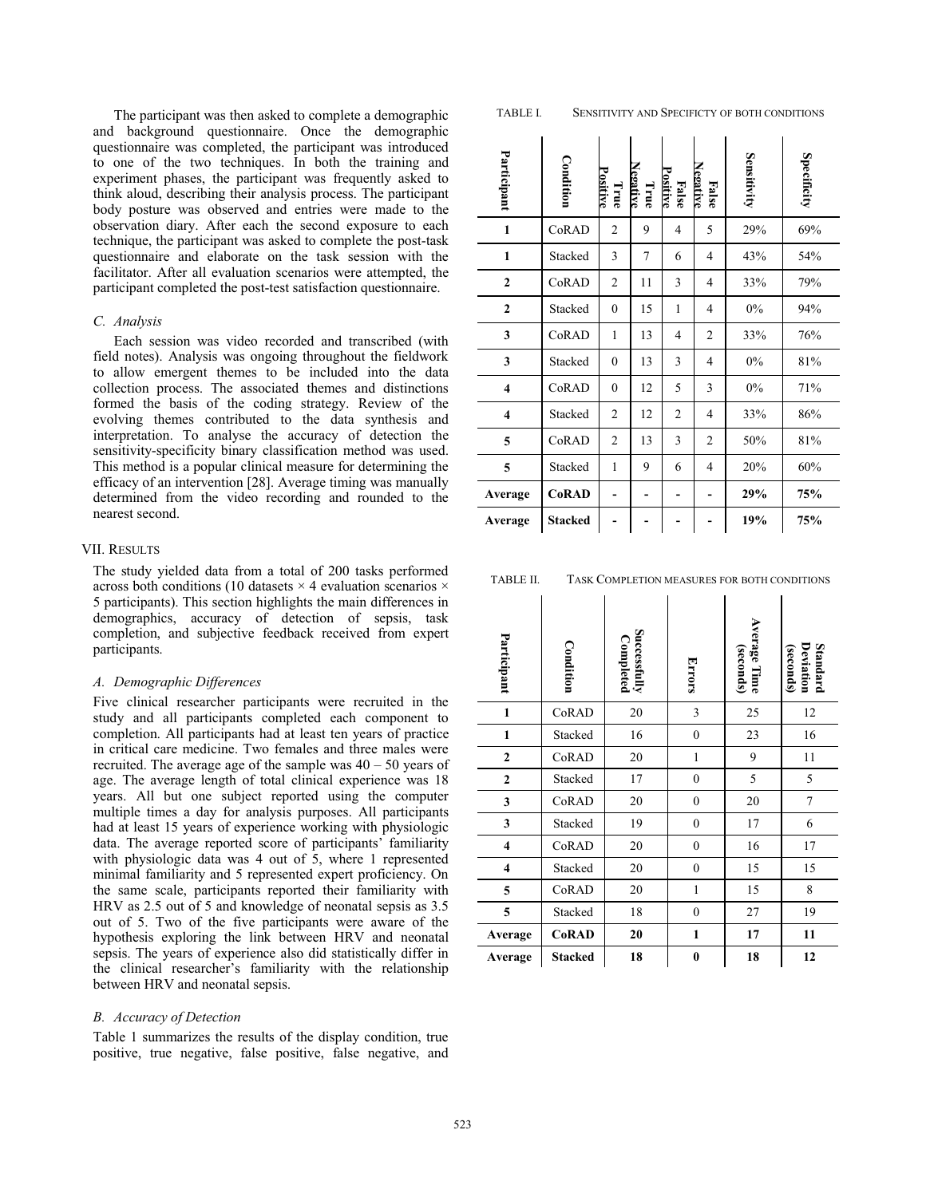The participant was then asked to complete a demographic and background questionnaire. Once the demographic questionnaire was completed, the participant was introduced to one of the two techniques. In both the training and experiment phases, the participant was frequently asked to think aloud, describing their analysis process. The participant body posture was observed and entries were made to the observation diary. After each the second exposure to each technique, the participant was asked to complete the post-task questionnaire and elaborate on the task session with the facilitator. After all evaluation scenarios were attempted, the participant completed the post-test satisfaction questionnaire.

#### *C. Analysis*

Each session was video recorded and transcribed (with field notes). Analysis was ongoing throughout the fieldwork to allow emergent themes to be included into the data collection process. The associated themes and distinctions formed the basis of the coding strategy. Review of the evolving themes contributed to the data synthesis and interpretation. To analyse the accuracy of detection the sensitivity-specificity binary classification method was used. This method is a popular clinical measure for determining the efficacy of an intervention [28]. Average timing was manually determined from the video recording and rounded to the nearest second.

# VII. RESULTS

The study yielded data from a total of 200 tasks performed across both conditions (10 datasets  $\times$  4 evaluation scenarios  $\times$ 5 participants). This section highlights the main differences in demographics, accuracy of detection of sepsis, task completion, and subjective feedback received from expert participants.

## *A. Demographic Differences*

Five clinical researcher participants were recruited in the study and all participants completed each component to completion. All participants had at least ten years of practice in critical care medicine. Two females and three males were recruited. The average age of the sample was  $40 - 50$  years of age. The average length of total clinical experience was 18 years. All but one subject reported using the computer multiple times a day for analysis purposes. All participants had at least 15 years of experience working with physiologic data. The average reported score of participants' familiarity with physiologic data was 4 out of 5, where 1 represented minimal familiarity and 5 represented expert proficiency. On the same scale, participants reported their familiarity with HRV as 2.5 out of 5 and knowledge of neonatal sepsis as 3.5 out of 5. Two of the five participants were aware of the hypothesis exploring the link between HRV and neonatal sepsis. The years of experience also did statistically differ in the clinical researcher's familiarity with the relationship between HRV and neonatal sepsis.

#### *B. Accuracy of Detection*

Table 1 summarizes the results of the display condition, true positive, true negative, false positive, false negative, and

| Participant             | Condition      | Positive<br>True | <b>Negative</b><br>True | False<br>Positive | <b>Negative</b><br>False | Sensitivity | Specificity |
|-------------------------|----------------|------------------|-------------------------|-------------------|--------------------------|-------------|-------------|
| $\mathbf{1}$            | CoRAD          | $\overline{2}$   | 9                       | $\overline{4}$    | 5                        | 29%         | 69%         |
| $\mathbf{1}$            | Stacked        | 3                | 7                       | 6                 | $\overline{4}$           | 43%         | 54%         |
| $\overline{2}$          | CoRAD          | 2                | 11                      | 3                 | $\overline{4}$           | 33%         | 79%         |
| $\mathbf{2}$            | Stacked        | $\theta$         | 15                      | 1                 | $\overline{4}$           | 0%          | 94%         |
| 3                       | CoRAD          | $\mathbf{1}$     | 13                      | $\overline{4}$    | $\overline{c}$           | 33%         | 76%         |
| 3                       | Stacked        | $\theta$         | 13                      | 3                 | 4                        | 0%          | 81%         |
| $\overline{\mathbf{4}}$ | CoRAD          | $\mathbf{0}$     | 12                      | 5                 | 3                        | 0%          | 71%         |
| $\overline{\mathbf{4}}$ | Stacked        | 2                | 12                      | $\overline{2}$    | 4                        | 33%         | 86%         |
| 5                       | CoRAD          | $\overline{c}$   | 13                      | 3                 | 2                        | 50%         | 81%         |
| 5                       | Stacked        | $\mathbf{1}$     | 9                       | 6                 | $\overline{4}$           | 20%         | 60%         |
| Average                 | <b>CoRAD</b>   |                  |                         |                   |                          | 29%         | 75%         |
| Average                 | <b>Stacked</b> |                  |                         |                   |                          | 19%         | 75%         |

| TASK COMPLETION MEASURES FOR BOTH CONDITIONS |
|----------------------------------------------|
|                                              |

| Participant    | Condition      | Successfully<br>Completed | <b>Errors</b>    | Average Time<br>(seconds) | Deviation<br>(seconds)<br>Standard |
|----------------|----------------|---------------------------|------------------|---------------------------|------------------------------------|
| $\mathbf{1}$   | CoRAD          | 20                        | 3                | 25                        | 12                                 |
| $\mathbf{1}$   | Stacked        | 16                        | $\boldsymbol{0}$ | 23                        | 16                                 |
| $\overline{2}$ | CoRAD          | 20                        | $\mathbf{1}$     | 9                         | 11                                 |
| $\mathbf{2}$   | Stacked        | 17                        | $\boldsymbol{0}$ | 5                         | 5                                  |
| 3              | CoRAD          | 20                        | $\boldsymbol{0}$ | 20                        | $\tau$                             |
| 3              | Stacked        | 19                        | $\boldsymbol{0}$ | 17                        | 6                                  |
| 4              | CoRAD          | 20                        | $\boldsymbol{0}$ | 16                        | 17                                 |
| 4              | Stacked        | 20                        | $\boldsymbol{0}$ | 15                        | 15                                 |
| 5              | CoRAD          | 20                        | $\mathbf{1}$     | 15                        | 8                                  |
| 5              | Stacked        | 18                        | $\mathbf{0}$     | 27                        | 19                                 |
| Average        | <b>CoRAD</b>   | 20                        | $\mathbf{1}$     | 17                        | 11                                 |
| Average        | <b>Stacked</b> | 18                        | 0                | 18                        | 12                                 |

#### TABLE I. SENSITIVITY AND SPECIFICTY OF BOTH CONDITIONS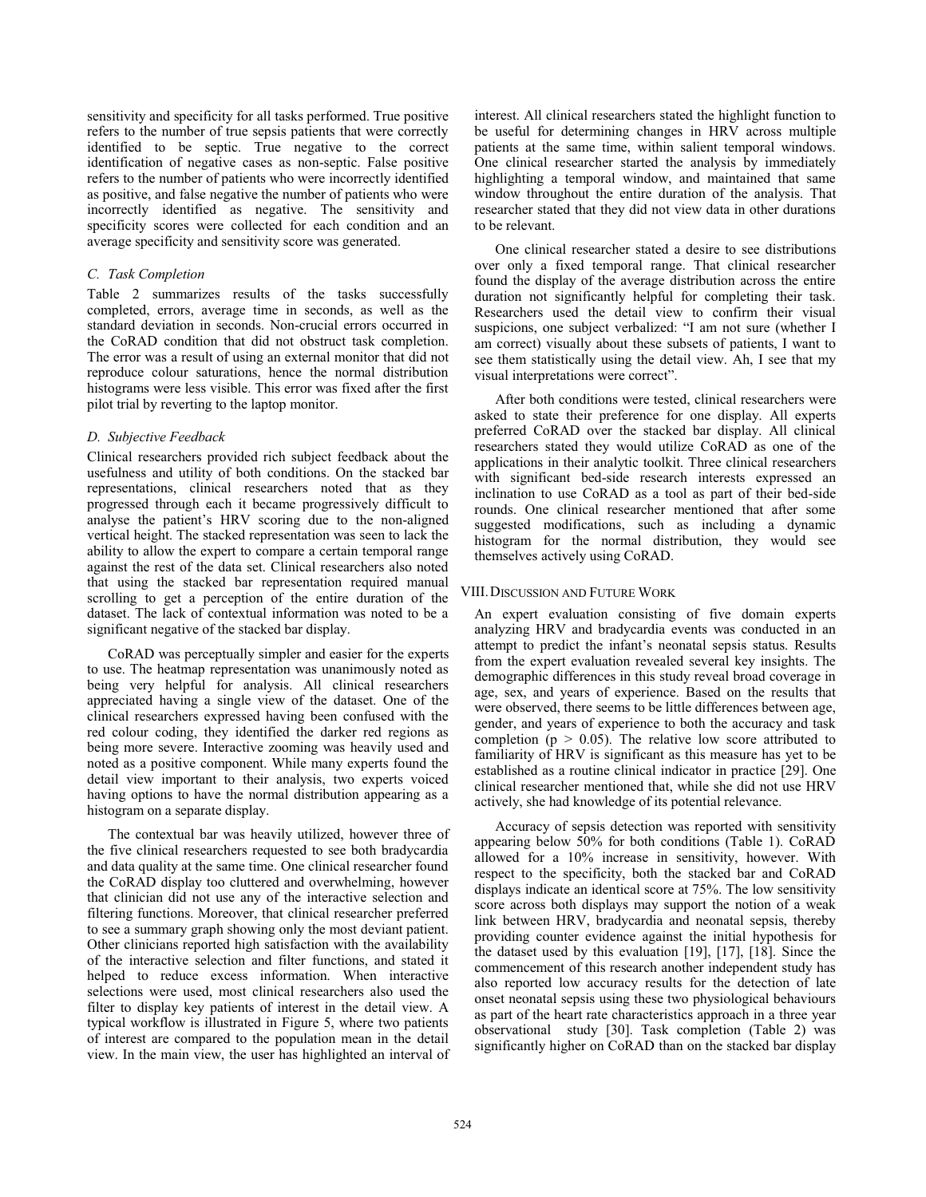sensitivity and specificity for all tasks performed. True positive refers to the number of true sepsis patients that were correctly identified to be septic. True negative to the correct identification of negative cases as non-septic. False positive refers to the number of patients who were incorrectly identified as positive, and false negative the number of patients who were incorrectly identified as negative. The sensitivity and specificity scores were collected for each condition and an average specificity and sensitivity score was generated.

# *C. Task Completion*

Table 2 summarizes results of the tasks successfully completed, errors, average time in seconds, as well as the standard deviation in seconds. Non-crucial errors occurred in the CoRAD condition that did not obstruct task completion. The error was a result of using an external monitor that did not reproduce colour saturations, hence the normal distribution histograms were less visible. This error was fixed after the first pilot trial by reverting to the laptop monitor.

# *D. Subjective Feedback*

Clinical researchers provided rich subject feedback about the usefulness and utility of both conditions. On the stacked bar representations, clinical researchers noted that as they progressed through each it became progressively difficult to analyse the patient's HRV scoring due to the non-aligned vertical height. The stacked representation was seen to lack the ability to allow the expert to compare a certain temporal range against the rest of the data set. Clinical researchers also noted that using the stacked bar representation required manual scrolling to get a perception of the entire duration of the dataset. The lack of contextual information was noted to be a significant negative of the stacked bar display.

CoRAD was perceptually simpler and easier for the experts to use. The heatmap representation was unanimously noted as being very helpful for analysis. All clinical researchers appreciated having a single view of the dataset. One of the clinical researchers expressed having been confused with the red colour coding, they identified the darker red regions as being more severe. Interactive zooming was heavily used and noted as a positive component. While many experts found the detail view important to their analysis, two experts voiced having options to have the normal distribution appearing as a histogram on a separate display.

The contextual bar was heavily utilized, however three of the five clinical researchers requested to see both bradycardia and data quality at the same time. One clinical researcher found the CoRAD display too cluttered and overwhelming, however that clinician did not use any of the interactive selection and filtering functions. Moreover, that clinical researcher preferred to see a summary graph showing only the most deviant patient. Other clinicians reported high satisfaction with the availability of the interactive selection and filter functions, and stated it helped to reduce excess information. When interactive selections were used, most clinical researchers also used the filter to display key patients of interest in the detail view. A typical workflow is illustrated in Figure 5, where two patients of interest are compared to the population mean in the detail view. In the main view, the user has highlighted an interval of

interest. All clinical researchers stated the highlight function to be useful for determining changes in HRV across multiple patients at the same time, within salient temporal windows. One clinical researcher started the analysis by immediately highlighting a temporal window, and maintained that same window throughout the entire duration of the analysis. That researcher stated that they did not view data in other durations to be relevant.

One clinical researcher stated a desire to see distributions over only a fixed temporal range. That clinical researcher found the display of the average distribution across the entire duration not significantly helpful for completing their task. Researchers used the detail view to confirm their visual suspicions, one subject verbalized: "I am not sure (whether I am correct) visually about these subsets of patients, I want to see them statistically using the detail view. Ah, I see that my visual interpretations were correct".

After both conditions were tested, clinical researchers were asked to state their preference for one display. All experts preferred CoRAD over the stacked bar display. All clinical researchers stated they would utilize CoRAD as one of the applications in their analytic toolkit. Three clinical researchers with significant bed-side research interests expressed an inclination to use CoRAD as a tool as part of their bed-side rounds. One clinical researcher mentioned that after some suggested modifications, such as including a dynamic histogram for the normal distribution, they would see themselves actively using CoRAD.

# VIII.DISCUSSION AND FUTURE WORK

An expert evaluation consisting of five domain experts analyzing HRV and bradycardia events was conducted in an attempt to predict the infant's neonatal sepsis status. Results from the expert evaluation revealed several key insights. The demographic differences in this study reveal broad coverage in age, sex, and years of experience. Based on the results that were observed, there seems to be little differences between age, gender, and years of experience to both the accuracy and task completion ( $p > 0.05$ ). The relative low score attributed to familiarity of HRV is significant as this measure has yet to be established as a routine clinical indicator in practice [29]. One clinical researcher mentioned that, while she did not use HRV actively, she had knowledge of its potential relevance.

Accuracy of sepsis detection was reported with sensitivity appearing below 50% for both conditions (Table 1). CoRAD allowed for a 10% increase in sensitivity, however. With respect to the specificity, both the stacked bar and CoRAD displays indicate an identical score at 75%. The low sensitivity score across both displays may support the notion of a weak link between HRV, bradycardia and neonatal sepsis, thereby providing counter evidence against the initial hypothesis for the dataset used by this evaluation [19], [17], [18]. Since the commencement of this research another independent study has also reported low accuracy results for the detection of late onset neonatal sepsis using these two physiological behaviours as part of the heart rate characteristics approach in a three year observational study [30]. Task completion (Table 2) was significantly higher on CoRAD than on the stacked bar display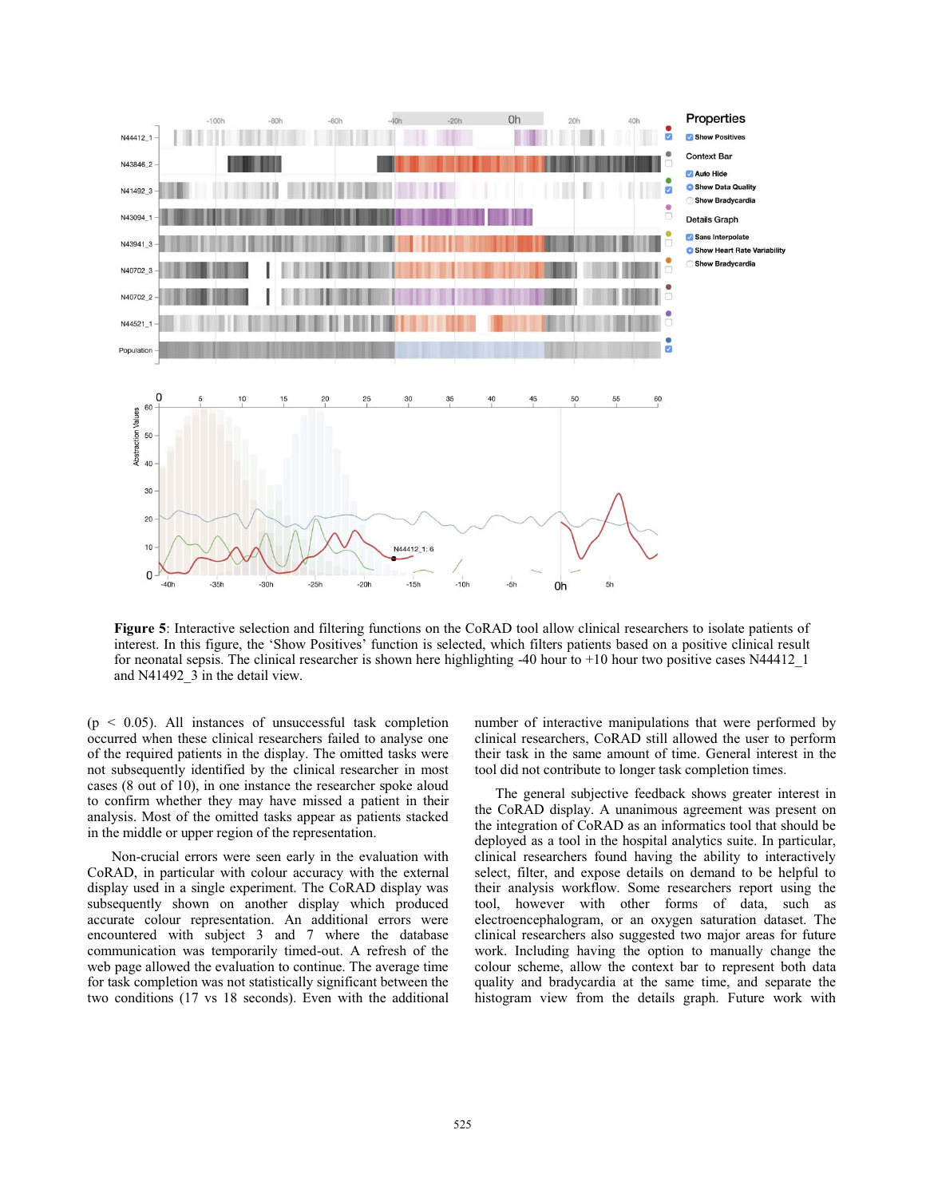

**Figure 5**: Interactive selection and filtering functions on the CoRAD tool allow clinical researchers to isolate patients of interest. In this figure, the 'Show Positives' function is selected, which filters patients based on a positive clinical result for neonatal sepsis. The clinical researcher is shown here highlighting -40 hour to +10 hour two positive cases N44412\_1 and N41492\_3 in the detail view.

 $(p < 0.05)$ . All instances of unsuccessful task completion occurred when these clinical researchers failed to analyse one of the required patients in the display. The omitted tasks were not subsequently identified by the clinical researcher in most cases (8 out of 10), in one instance the researcher spoke aloud to confirm whether they may have missed a patient in their analysis. Most of the omitted tasks appear as patients stacked in the middle or upper region of the representation.

 Non-crucial errors were seen early in the evaluation with CoRAD, in particular with colour accuracy with the external display used in a single experiment. The CoRAD display was subsequently shown on another display which produced accurate colour representation. An additional errors were encountered with subject 3 and 7 where the database communication was temporarily timed-out. A refresh of the web page allowed the evaluation to continue. The average time for task completion was not statistically significant between the two conditions (17 vs 18 seconds). Even with the additional number of interactive manipulations that were performed by clinical researchers, CoRAD still allowed the user to perform their task in the same amount of time. General interest in the tool did not contribute to longer task completion times.

The general subjective feedback shows greater interest in the CoRAD display. A unanimous agreement was present on the integration of CoRAD as an informatics tool that should be deployed as a tool in the hospital analytics suite. In particular, clinical researchers found having the ability to interactively select, filter, and expose details on demand to be helpful to their analysis workflow. Some researchers report using the tool, however with other forms of data, such as electroencephalogram, or an oxygen saturation dataset. The clinical researchers also suggested two major areas for future work. Including having the option to manually change the colour scheme, allow the context bar to represent both data quality and bradycardia at the same time, and separate the histogram view from the details graph. Future work with